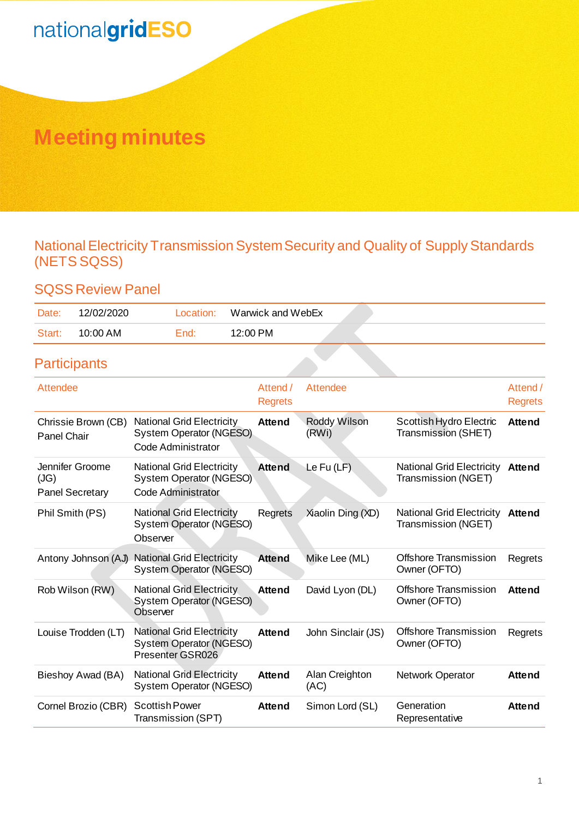# **Meeting minutes**

### National Electricity Transmission System Security and Quality of Supply Standards (NETS SQSS)

### SQSS Review Panel

| Date:  | 12/02/2020 | Location: | Warwick and WebEx |  |
|--------|------------|-----------|-------------------|--|
| Start: | 10:00 AM   | End:      | 12:00 PM          |  |

## **Participants**

| Attendee                                          |                                                                                          | Attend /<br><b>Regrets</b> | Attendee               |                                                         | Attend /<br><b>Regrets</b> |
|---------------------------------------------------|------------------------------------------------------------------------------------------|----------------------------|------------------------|---------------------------------------------------------|----------------------------|
| Chrissie Brown (CB)<br><b>Panel Chair</b>         | <b>National Grid Electricity</b><br>System Operator (NGESO)<br>Code Administrator        | <b>Attend</b>              | Roddy Wilson<br>(RWi)  | Scottish Hydro Electric<br>Transmission (SHET)          | <b>Attend</b>              |
| Jennifer Groome<br>(JG)<br><b>Panel Secretary</b> | <b>National Grid Electricity</b><br>System Operator (NGESO)<br><b>Code Administrator</b> | <b>Attend</b>              | Le Fu $(LF)$           | <b>National Grid Electricity</b><br>Transmission (NGET) | <b>Attend</b>              |
| Phil Smith (PS)                                   | <b>National Grid Electricity</b><br>System Operator (NGESO)<br>Observer                  | Regrets                    | Xiaolin Ding (XD)      | <b>National Grid Electricity</b><br>Transmission (NGET) | Attend                     |
| Antony Johnson (AJ)                               | <b>National Grid Electricity</b><br>System Operator (NGESO)                              | <b>Attend</b>              | Mike Lee (ML)          | <b>Offshore Transmission</b><br>Owner (OFTO)            | Regrets                    |
| Rob Wilson (RW)                                   | <b>National Grid Electricity</b><br>System Operator (NGESO)<br>Observer                  | <b>Attend</b>              | David Lyon (DL)        | <b>Offshore Transmission</b><br>Owner (OFTO)            | <b>Attend</b>              |
| Louise Trodden (LT)                               | <b>National Grid Electricity</b><br>System Operator (NGESO)<br>Presenter GSR026          | <b>Attend</b>              | John Sinclair (JS)     | <b>Offshore Transmission</b><br>Owner (OFTO)            | Regrets                    |
| Bieshoy Awad (BA)                                 | <b>National Grid Electricity</b><br>System Operator (NGESO)                              | <b>Attend</b>              | Alan Creighton<br>(AC) | Network Operator                                        | <b>Attend</b>              |
| Cornel Brozio (CBR)                               | <b>Scottish Power</b><br>Transmission (SPT)                                              | <b>Attend</b>              | Simon Lord (SL)        | Generation<br>Representative                            | <b>Attend</b>              |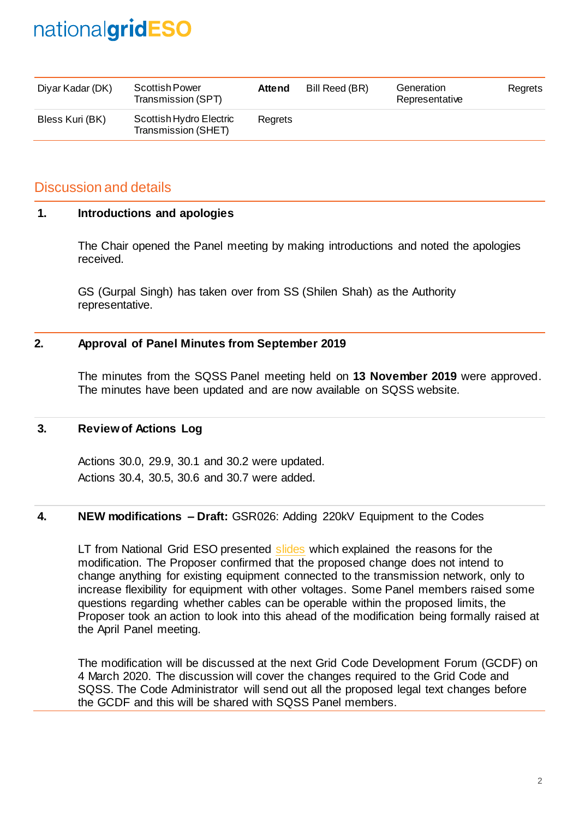| Diyar Kadar (DK) | Scottish Power<br>Transmission (SPT)           | <b>Attend</b> | Bill Reed (BR) | Generation<br>Representative | Regrets |
|------------------|------------------------------------------------|---------------|----------------|------------------------------|---------|
| Bless Kuri (BK)  | Scottish Hydro Electric<br>Transmission (SHET) | Rearets       |                |                              |         |

### Discussion and details

#### **1. Introductions and apologies**

The Chair opened the Panel meeting by making introductions and noted the apologies received.

GS (Gurpal Singh) has taken over from SS (Shilen Shah) as the Authority representative.

#### **2. Approval of Panel Minutes from September 2019**

The minutes from the SQSS Panel meeting held on **13 November 2019** were approved. The minutes have been updated and are now available on SQSS website.

#### **3. Review of Actions Log**

Actions 30.0, 29.9, 30.1 and 30.2 were updated. Actions 30.4, 30.5, 30.6 and 30.7 were added.

#### **4. NEW modifications – Draft:** GSR026: Adding 220kV Equipment to the Codes

LT from National Grid ESO presented [slides](https://www.nationalgrideso.com/codes/security-and-quality-supply-standards/meetings/sqss-panel-meeting) which explained the reasons for the modification. The Proposer confirmed that the proposed change does not intend to change anything for existing equipment connected to the transmission network, only to increase flexibility for equipment with other voltages. Some Panel members raised some questions regarding whether cables can be operable within the proposed limits, the Proposer took an action to look into this ahead of the modification being formally raised at the April Panel meeting.

The modification will be discussed at the next Grid Code Development Forum (GCDF) on 4 March 2020. The discussion will cover the changes required to the Grid Code and SQSS. The Code Administrator will send out all the proposed legal text changes before the GCDF and this will be shared with SQSS Panel members.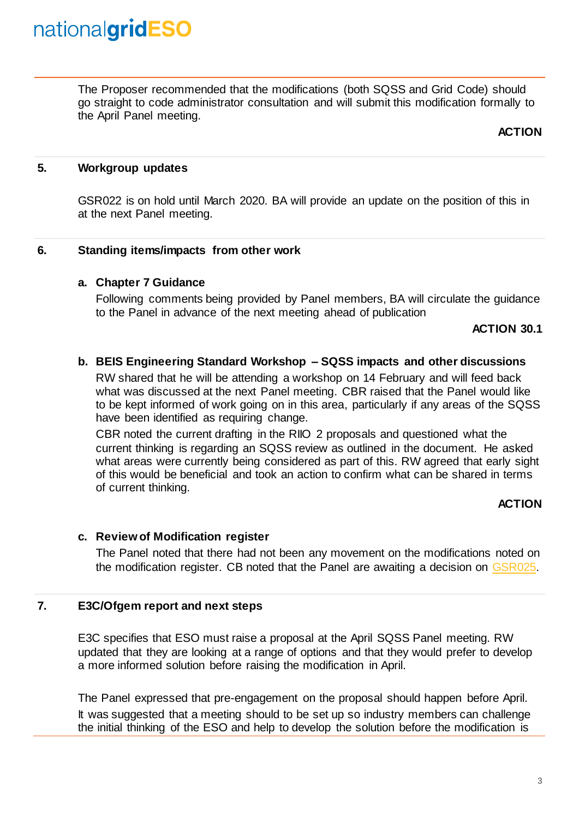The Proposer recommended that the modifications (both SQSS and Grid Code) should go straight to code administrator consultation and will submit this modification formally to the April Panel meeting.

**ACTION**

#### **5. Workgroup updates**

GSR022 is on hold until March 2020. BA will provide an update on the position of this in at the next Panel meeting.

#### **6. Standing items/impacts from other work**

#### **a. Chapter 7 Guidance**

Following comments being provided by Panel members, BA will circulate the guidance to the Panel in advance of the next meeting ahead of publication

#### **ACTION 30.1**

#### **b. BEIS Engineering Standard Workshop – SQSS impacts and other discussions**

RW shared that he will be attending a workshop on 14 February and will feed back what was discussed at the next Panel meeting. CBR raised that the Panel would like to be kept informed of work going on in this area, particularly if any areas of the SQSS have been identified as requiring change.

CBR noted the current drafting in the RIIO 2 proposals and questioned what the current thinking is regarding an SQSS review as outlined in the document. He asked what areas were currently being considered as part of this. RW agreed that early sight of this would be beneficial and took an action to confirm what can be shared in terms of current thinking.

#### **ACTION**

#### **c. Review of Modification register**

The Panel noted that there had not been any movement on the modifications noted on the modification register. CB noted that the Panel are awaiting a decision on [GSR025.](https://www.nationalgrideso.com/codes/security-and-quality-supply-standards/modifications/gsr025-updating-sqss-reflect-recent)

#### **7. E3C/Ofgem report and next steps**

E3C specifies that ESO must raise a proposal at the April SQSS Panel meeting. RW updated that they are looking at a range of options and that they would prefer to develop a more informed solution before raising the modification in April.

The Panel expressed that pre-engagement on the proposal should happen before April. It was suggested that a meeting should to be set up so industry members can challenge the initial thinking of the ESO and help to develop the solution before the modification is